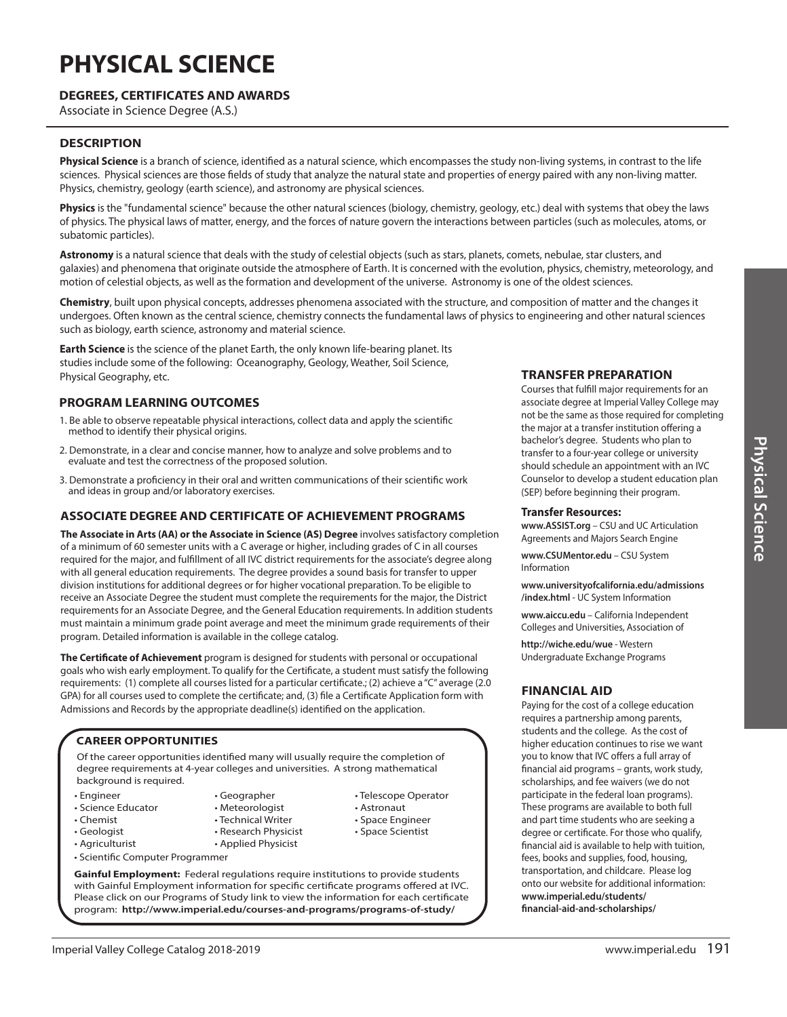# **PHYSICAL SCIENCE**

## **DEGREES, CERTIFICATES AND AWARDS**

Associate in Science Degree (A.S.)

### **DESCRIPTION**

**Physical Science** is a branch of science, identified as a natural science, which encompasses the study non-living systems, in contrast to the life sciences. Physical sciences are those fields of study that analyze the natural state and properties of energy paired with any non-living matter. Physics, chemistry, geology (earth science), and astronomy are physical sciences.

Physics is the "fundamental science" because the other natural sciences (biology, chemistry, geology, etc.) deal with systems that obey the laws of physics. The physical laws of matter, energy, and the forces of nature govern the interactions between particles (such as molecules, atoms, or subatomic particles).

**Astronomy** is a natural science that deals with the study of celestial objects (such as stars, planets, comets, nebulae, star clusters, and galaxies) and phenomena that originate outside the atmosphere of Earth. It is concerned with the evolution, physics, chemistry, meteorology, and motion of celestial objects, as well as the formation and development of the universe. Astronomy is one of the oldest sciences.

**Chemistry**, built upon physical concepts, addresses phenomena associated with the structure, and composition of matter and the changes it undergoes. Often known as the central science, chemistry connects the fundamental laws of physics to engineering and other natural sciences such as biology, earth science, astronomy and material science.

**Earth Science** is the science of the planet Earth, the only known life-bearing planet. Its studies include some of the following: Oceanography, Geology, Weather, Soil Science, Physical Geography, etc.

## **PROGRAM LEARNING OUTCOMES**

- 1. Be able to observe repeatable physical interactions, collect data and apply the scientific method to identify their physical origins.
- 2. Demonstrate, in a clear and concise manner, how to analyze and solve problems and to evaluate and test the correctness of the proposed solution.
- 3. Demonstrate a proficiency in their oral and written communications of their scientific work and ideas in group and/or laboratory exercises.

#### **ASSOCIATE DEGREE AND CERTIFICATE OF ACHIEVEMENT PROGRAMS**

**The Associate in Arts (AA) or the Associate in Science (AS) Degree** involves satisfactory completion of a minimum of 60 semester units with a C average or higher, including grades of C in all courses required for the major, and fulfillment of all IVC district requirements for the associate's degree along with all general education requirements. The degree provides a sound basis for transfer to upper division institutions for additional degrees or for higher vocational preparation. To be eligible to receive an Associate Degree the student must complete the requirements for the major, the District requirements for an Associate Degree, and the General Education requirements. In addition students must maintain a minimum grade point average and meet the minimum grade requirements of their program. Detailed information is available in the college catalog.

**The Certificate of Achievement** program is designed for students with personal or occupational goals who wish early employment. To qualify for the Certificate, a student must satisfy the following requirements: (1) complete all courses listed for a particular certificate.; (2) achieve a "C" average (2.0 GPA) for all courses used to complete the certificate; and, (3) file a Certificate Application form with Admissions and Records by the appropriate deadline(s) identified on the application.

#### **CAREER OPPORTUNITIES**

• Scientific Computer Programmer

Of the career opportunities identified many will usually require the completion of degree requirements at 4-year colleges and universities. A strong mathematical background is required.

- Engineer
- Science Educator
- Chemist
- Geologist
- Agriculturist
- Meteorologist • Technical Writer • Research Physicist

• Applied Physicist

• Geographer

- Astronaut
	- Space Engineer
	- Space Scientist

• Telescope Operator

**Gainful Employment:** Federal regulations require institutions to provide students with Gainful Employment information for specific certificate programs offered at IVC. Please click on our Programs of Study link to view the information for each certificate program: **http://www.imperial.edu/courses-and-programs/programs-of-study/**

### **TRANSFER PREPARATION**

Courses that fulfill major requirements for an associate degree at Imperial Valley College may not be the same as those required for completing the major at a transfer institution offering a bachelor's degree. Students who plan to transfer to a four-year college or university should schedule an appointment with an IVC Counselor to develop a student education plan (SEP) before beginning their program.

#### **Transfer Resources:**

**www.ASSIST.org** – CSU and UC Articulation Agreements and Majors Search Engine

**www.CSUMentor.edu** – CSU System Information

**www.universityofcalifornia.edu/admissions /index.html** - UC System Information

**www.aiccu.edu** – California Independent Colleges and Universities, Association of

**http://wiche.edu/wue** - Western Undergraduate Exchange Programs

### **FINANCIAL AID**

Paying for the cost of a college education requires a partnership among parents, students and the college. As the cost of higher education continues to rise we want you to know that IVC offers a full array of financial aid programs – grants, work study, scholarships, and fee waivers (we do not participate in the federal loan programs). These programs are available to both full and part time students who are seeking a degree or certificate. For those who qualify, financial aid is available to help with tuition, fees, books and supplies, food, housing, transportation, and childcare. Please log onto our website for additional information: **www.imperial.edu/students/ financial-aid-and-scholarships/**